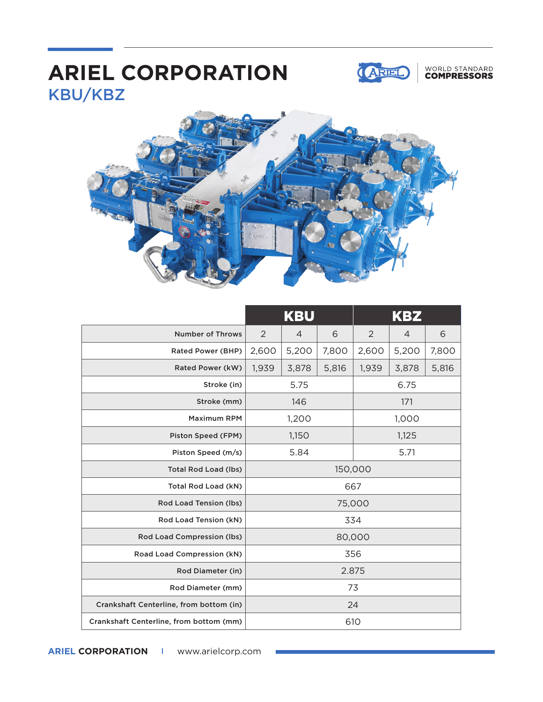## KBU/KBZ **ARIEL CORPORATION**



### WORLD STANDARD<br>**COMPRESSORS**



|                                         | <b>KBU</b> |                |       | KBZ   |       |       |
|-----------------------------------------|------------|----------------|-------|-------|-------|-------|
| <b>Number of Throws</b>                 | 2          | $\overline{4}$ | 6     | 2     | 4     | 6     |
| Rated Power (BHP)                       | 2,600      | 5,200          | 7,800 | 2,600 | 5,200 | 7,800 |
| Rated Power (kW)                        | 1,939      | 3,878          | 5,816 | 1,939 | 3,878 | 5,816 |
| Stroke (in)                             | 5.75       |                |       | 6.75  |       |       |
| Stroke (mm)                             | 146        |                |       | 171   |       |       |
| <b>Maximum RPM</b>                      | 1,200      |                |       | 1,000 |       |       |
| Piston Speed (FPM)                      | 1,150      |                |       | 1,125 |       |       |
| Piston Speed (m/s)                      | 5.84       |                |       | 5.71  |       |       |
| <b>Total Rod Load (lbs)</b>             | 150,000    |                |       |       |       |       |
| Total Rod Load (kN)                     | 667        |                |       |       |       |       |
| Rod Load Tension (lbs)                  | 75,000     |                |       |       |       |       |
| Rod Load Tension (kN)                   |            |                | 334   |       |       |       |
| Rod Load Compression (lbs)              | 80,000     |                |       |       |       |       |
| Road Load Compression (kN)              | 356        |                |       |       |       |       |
| Rod Diameter (in)                       | 2.875      |                |       |       |       |       |
| Rod Diameter (mm)                       | 73         |                |       |       |       |       |
| Crankshaft Centerline, from bottom (in) | 24         |                |       |       |       |       |
| Crankshaft Centerline, from bottom (mm) | 610        |                |       |       |       |       |

**ARIEL CORPORATION I** www.arielcorp.com